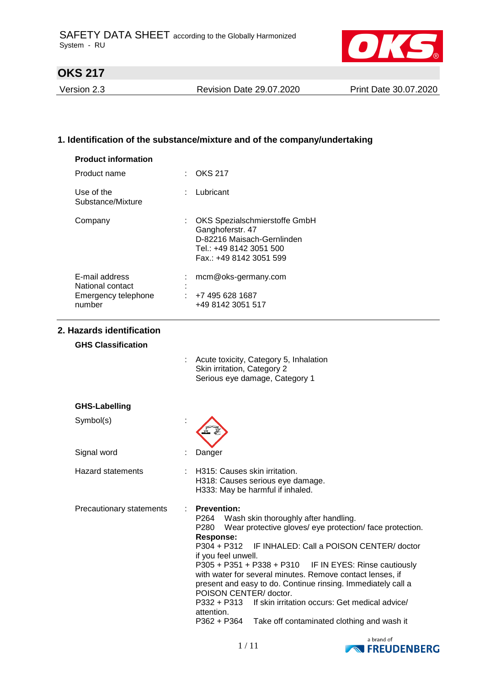

Version 2.3 Revision Date 29.07.2020 Print Date 30.07.2020

# **1. Identification of the substance/mixture and of the company/undertaking**

| <b>Product information</b>                        |                                                                                                                                                                                                                                                                                                                                                                                                                                                                                                                                                                                                          |
|---------------------------------------------------|----------------------------------------------------------------------------------------------------------------------------------------------------------------------------------------------------------------------------------------------------------------------------------------------------------------------------------------------------------------------------------------------------------------------------------------------------------------------------------------------------------------------------------------------------------------------------------------------------------|
| Product name                                      | <b>OKS 217</b>                                                                                                                                                                                                                                                                                                                                                                                                                                                                                                                                                                                           |
| Use of the<br>Substance/Mixture                   | Lubricant                                                                                                                                                                                                                                                                                                                                                                                                                                                                                                                                                                                                |
| Company                                           | OKS Spezialschmierstoffe GmbH<br>Ganghoferstr. 47<br>D-82216 Maisach-Gernlinden<br>Tel.: +49 8142 3051 500<br>Fax.: +49 8142 3051 599                                                                                                                                                                                                                                                                                                                                                                                                                                                                    |
| E-mail address                                    | mcm@oks-germany.com                                                                                                                                                                                                                                                                                                                                                                                                                                                                                                                                                                                      |
| National contact<br>Emergency telephone<br>number | $\div$ +7 495 628 1687<br>+49 8142 3051 517                                                                                                                                                                                                                                                                                                                                                                                                                                                                                                                                                              |
| 2. Hazards identification                         |                                                                                                                                                                                                                                                                                                                                                                                                                                                                                                                                                                                                          |
| <b>GHS Classification</b>                         |                                                                                                                                                                                                                                                                                                                                                                                                                                                                                                                                                                                                          |
|                                                   | Acute toxicity, Category 5, Inhalation<br>Skin irritation, Category 2<br>Serious eye damage, Category 1                                                                                                                                                                                                                                                                                                                                                                                                                                                                                                  |
| <b>GHS-Labelling</b>                              |                                                                                                                                                                                                                                                                                                                                                                                                                                                                                                                                                                                                          |
| Symbol(s)                                         |                                                                                                                                                                                                                                                                                                                                                                                                                                                                                                                                                                                                          |
| Signal word                                       | Danger                                                                                                                                                                                                                                                                                                                                                                                                                                                                                                                                                                                                   |
| <b>Hazard statements</b>                          | H315: Causes skin irritation.<br>H318: Causes serious eye damage.<br>H333: May be harmful if inhaled.                                                                                                                                                                                                                                                                                                                                                                                                                                                                                                    |
| Precautionary statements                          | <b>Prevention:</b><br>P264<br>Wash skin thoroughly after handling.<br>Wear protective gloves/ eye protection/ face protection.<br>P280<br><b>Response:</b><br>P304 + P312<br>IF INHALED: Call a POISON CENTER/ doctor<br>if you feel unwell.<br>P305 + P351 + P338 + P310 IF IN EYES: Rinse cautiously<br>with water for several minutes. Remove contact lenses, if<br>present and easy to do. Continue rinsing. Immediately call a<br>POISON CENTER/doctor.<br>If skin irritation occurs: Get medical advice/<br>P332 + P313<br>attention.<br>P362 + P364<br>Take off contaminated clothing and wash it |

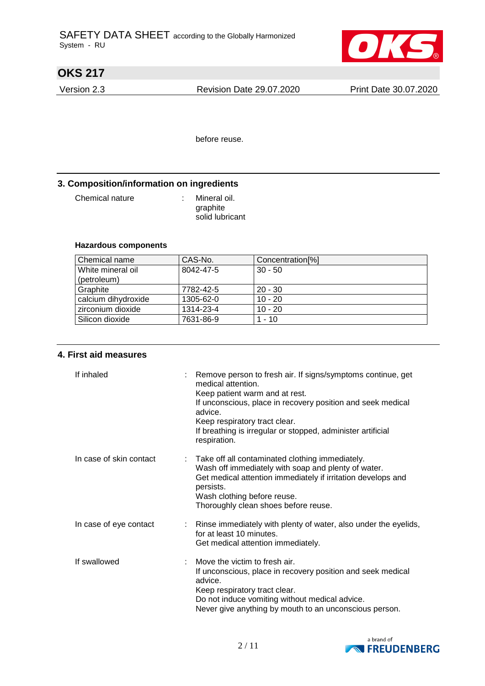

Version 2.3 Revision Date 29.07.2020 Print Date 30.07.2020

before reuse.

## **3. Composition/information on ingredients**

Chemical nature : Mineral oil.

graphite solid lubricant

## **Hazardous components**

| Chemical name       | CAS-No.   | Concentration <sup>[%]</sup> |
|---------------------|-----------|------------------------------|
| White mineral oil   | 8042-47-5 | $30 - 50$                    |
| (petroleum)         |           |                              |
| Graphite            | 7782-42-5 | $20 - 30$                    |
| calcium dihydroxide | 1305-62-0 | $10 - 20$                    |
| zirconium dioxide   | 1314-23-4 | $10 - 20$                    |
| Silicon dioxide     | 7631-86-9 | 1 - 10                       |

## **4. First aid measures**

| If inhaled              | medical attention.<br>Keep patient warm and at rest.<br>advice.<br>Keep respiratory tract clear.<br>respiration.                      | Remove person to fresh air. If signs/symptoms continue, get<br>If unconscious, place in recovery position and seek medical<br>If breathing is irregular or stopped, administer artificial |
|-------------------------|---------------------------------------------------------------------------------------------------------------------------------------|-------------------------------------------------------------------------------------------------------------------------------------------------------------------------------------------|
| In case of skin contact | : Take off all contaminated clothing immediately.<br>persists.<br>Wash clothing before reuse.<br>Thoroughly clean shoes before reuse. | Wash off immediately with soap and plenty of water.<br>Get medical attention immediately if irritation develops and                                                                       |
| In case of eye contact  | for at least 10 minutes.<br>Get medical attention immediately.                                                                        | Rinse immediately with plenty of water, also under the eyelids,                                                                                                                           |
| If swallowed            | Move the victim to fresh air.<br>advice.<br>Keep respiratory tract clear.<br>Do not induce vomiting without medical advice.           | If unconscious, place in recovery position and seek medical<br>Never give anything by mouth to an unconscious person.                                                                     |

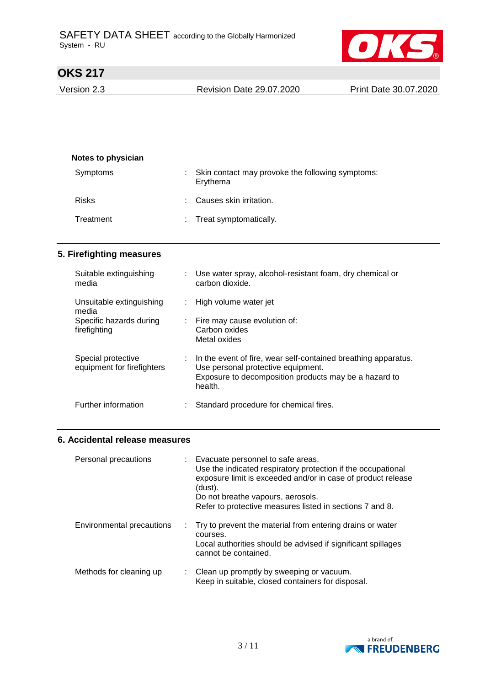

Version 2.3 Revision Date 29.07.2020 Print Date 30.07.2020

| : Skin contact may provoke the following symptoms: |
|----------------------------------------------------|
|                                                    |
|                                                    |
|                                                    |

## **5. Firefighting measures**

| Suitable extinguishing<br>media   | Use water spray, alcohol-resistant foam, dry chemical or<br>carbon dioxide. |
|-----------------------------------|-----------------------------------------------------------------------------|
| Unsuitable extinguishing<br>media | High volume water jet                                                       |
| Specific hazards during           | $\therefore$ Fire may cause evolution of:                                   |
| firefighting                      | Carbon oxides                                                               |
|                                   | Metal oxides                                                                |
| Special protective                | In the event of fire, wear self-contained breathing apparatus.              |
| equipment for firefighters        | Use personal protective equipment.                                          |
|                                   | Exposure to decomposition products may be a hazard to<br>health.            |
| Further information               | Standard procedure for chemical fires.                                      |
|                                   |                                                                             |

### **6. Accidental release measures**

| Personal precautions      | Evacuate personnel to safe areas.<br>t.<br>Use the indicated respiratory protection if the occupational<br>exposure limit is exceeded and/or in case of product release<br>(dust).<br>Do not breathe vapours, aerosols.<br>Refer to protective measures listed in sections 7 and 8. |
|---------------------------|-------------------------------------------------------------------------------------------------------------------------------------------------------------------------------------------------------------------------------------------------------------------------------------|
| Environmental precautions | : Try to prevent the material from entering drains or water<br>courses.<br>Local authorities should be advised if significant spillages<br>cannot be contained.                                                                                                                     |
| Methods for cleaning up   | Clean up promptly by sweeping or vacuum.<br>Keep in suitable, closed containers for disposal.                                                                                                                                                                                       |

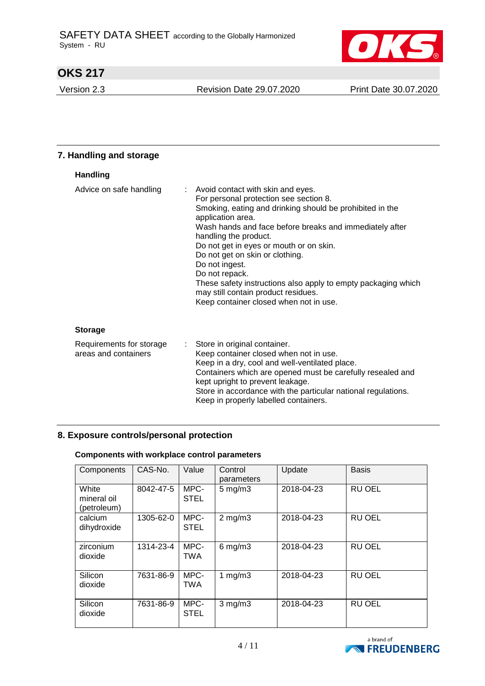

Version 2.3 Revision Date 29.07.2020 Print Date 30.07.2020

### **7. Handling and storage Handling** Advice on safe handling : Avoid contact with skin and eyes. For personal protection see section 8. Smoking, eating and drinking should be prohibited in the application area. Wash hands and face before breaks and immediately after handling the product. Do not get in eyes or mouth or on skin. Do not get on skin or clothing. Do not ingest. Do not repack. These safety instructions also apply to empty packaging which may still contain product residues. Keep container closed when not in use. **Storage** Requirements for storage areas and containers : Store in original container. Keep container closed when not in use. Keep in a dry, cool and well-ventilated place. Containers which are opened must be carefully resealed and kept upright to prevent leakage. Store in accordance with the particular national regulations.

#### Keep in properly labelled containers.

## **8. Exposure controls/personal protection**

#### **Components with workplace control parameters**

| Components                          | CAS-No.   | Value               | Control<br>parameters | Update     | <b>Basis</b>  |
|-------------------------------------|-----------|---------------------|-----------------------|------------|---------------|
| White<br>mineral oil<br>(petroleum) | 8042-47-5 | MPC-<br><b>STEL</b> | $5 \text{ mg/m}$ 3    | 2018-04-23 | <b>RU OEL</b> |
| calcium<br>dihydroxide              | 1305-62-0 | MPC-<br><b>STEL</b> | $2$ mg/m $3$          | 2018-04-23 | RU OEL        |
| zirconium<br>dioxide                | 1314-23-4 | MPC-<br><b>TWA</b>  | $6$ mg/m $3$          | 2018-04-23 | <b>RU OEL</b> |
| Silicon<br>dioxide                  | 7631-86-9 | MPC-<br><b>TWA</b>  | 1 $mg/m3$             | 2018-04-23 | <b>RU OEL</b> |
| Silicon<br>dioxide                  | 7631-86-9 | MPC-<br><b>STEL</b> | $3$ mg/m $3$          | 2018-04-23 | <b>RU OEL</b> |

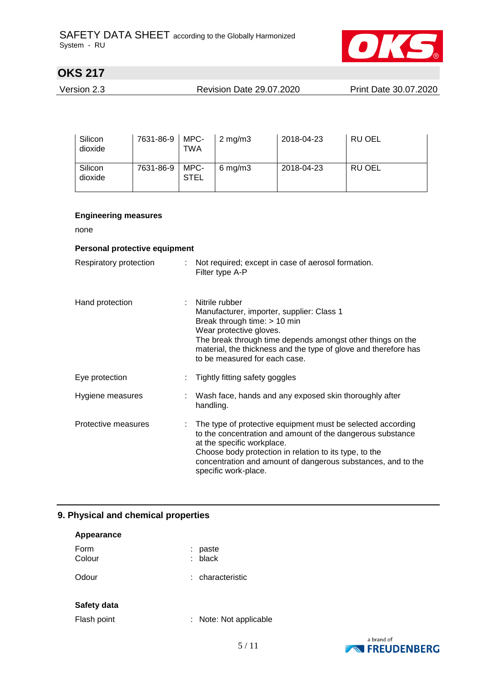

| Version 2.3 | <b>Revision Date 29.07.2020</b> | Print Date 30.07.2020 |
|-------------|---------------------------------|-----------------------|
|             |                                 |                       |

| Silicon<br>dioxide | 7631-86-9 | MPC-<br>TWA         | $2$ mg/m $3$ | 2018-04-23 | RU OEL        |
|--------------------|-----------|---------------------|--------------|------------|---------------|
| Silicon<br>dioxide | 7631-86-9 | MPC-<br><b>STEL</b> | $6$ mg/m $3$ | 2018-04-23 | <b>RU OEL</b> |

### **Engineering measures**

none

### **Personal protective equipment**

| Respiratory protection | : Not required; except in case of aerosol formation.<br>Filter type A-P                                                                                                                                                                                                                                   |
|------------------------|-----------------------------------------------------------------------------------------------------------------------------------------------------------------------------------------------------------------------------------------------------------------------------------------------------------|
| Hand protection        | Nitrile rubber<br>Manufacturer, importer, supplier: Class 1<br>Break through time: > 10 min<br>Wear protective gloves.<br>The break through time depends amongst other things on the<br>material, the thickness and the type of glove and therefore has<br>to be measured for each case.                  |
| Eye protection         | Tightly fitting safety goggles                                                                                                                                                                                                                                                                            |
| Hygiene measures       | : Wash face, hands and any exposed skin thoroughly after<br>handling.                                                                                                                                                                                                                                     |
| Protective measures    | The type of protective equipment must be selected according<br>to the concentration and amount of the dangerous substance<br>at the specific workplace.<br>Choose body protection in relation to its type, to the<br>concentration and amount of dangerous substances, and to the<br>specific work-place. |

## **9. Physical and chemical properties**

| Appearance     |                        |
|----------------|------------------------|
| Form<br>Colour | paste<br>$:$ black     |
| Odour          | : characteristic       |
| Safety data    |                        |
| Flash point    | : Note: Not applicable |

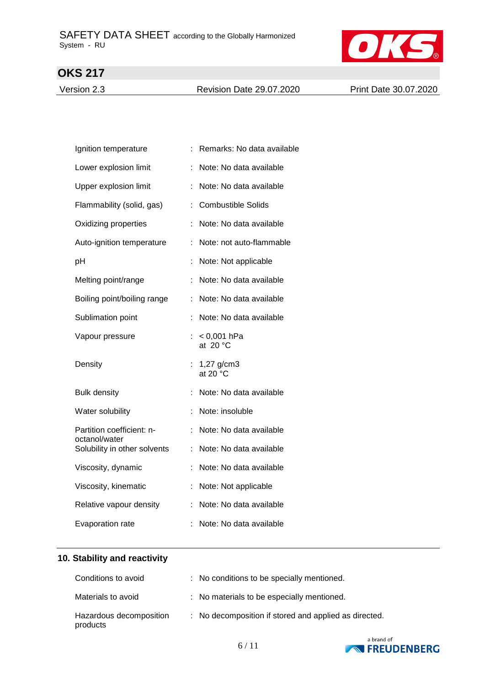

Version 2.3 Revision Date 29.07.2020 Print Date 30.07.2020

|   | Remarks: No data available         |
|---|------------------------------------|
|   | Note: No data available            |
|   | Note: No data available            |
| ÷ | <b>Combustible Solids</b>          |
| ÷ | Note: No data available            |
| ÷ | Note: not auto-flammable           |
| t | Note: Not applicable               |
|   | Note: No data available            |
|   | Note: No data available            |
| t | Note: No data available            |
|   | $< 0,001$ hPa<br>at $20 °C$        |
| t | $1,27$ g/cm3<br>at 20 $^{\circ}$ C |
|   | Note: No data available            |
| t | Note: insoluble                    |
| ÷ | Note: No data available            |
| ÷ | Note: No data available            |
|   | Note: No data available            |
|   | Note: Not applicable               |
| ÷ | Note: No data available            |
|   | Note: No data available            |
|   |                                    |

# **10. Stability and reactivity**

| Conditions to avoid                 | : No conditions to be specially mentioned.            |
|-------------------------------------|-------------------------------------------------------|
| Materials to avoid                  | : No materials to be especially mentioned.            |
| Hazardous decomposition<br>products | : No decomposition if stored and applied as directed. |

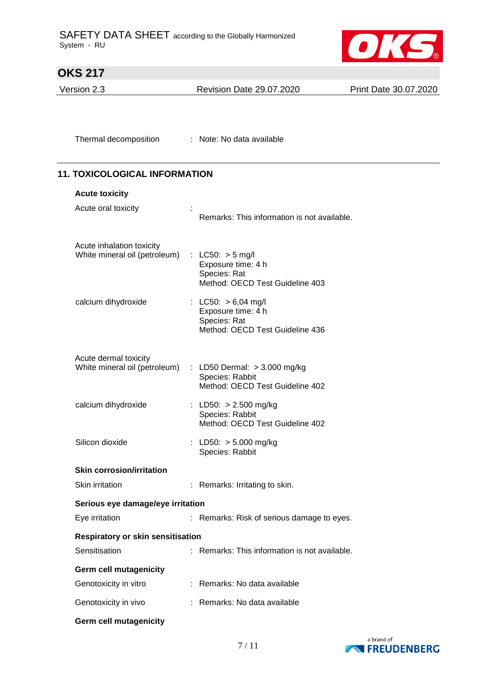

Version 2.3 Revision Date 29.07.2020 Print Date 30.07.2020

Thermal decomposition : Note: No data available

# **11. TOXICOLOGICAL INFORMATION**

| <b>Acute toxicity</b>                                      |                                                                                                |
|------------------------------------------------------------|------------------------------------------------------------------------------------------------|
| Acute oral toxicity                                        | Remarks: This information is not available.                                                    |
| Acute inhalation toxicity<br>White mineral oil (petroleum) | : LC50: $>$ 5 mg/l<br>Exposure time: 4 h<br>Species: Rat<br>Method: OECD Test Guideline 403    |
| calcium dihydroxide                                        | : LC50: $> 6,04$ mg/l<br>Exposure time: 4 h<br>Species: Rat<br>Method: OECD Test Guideline 436 |
| Acute dermal toxicity                                      |                                                                                                |
| White mineral oil (petroleum)                              | : LD50 Dermal: $>$ 3.000 mg/kg<br>Species: Rabbit<br>Method: OECD Test Guideline 402           |
| calcium dihydroxide                                        | : LD50: $> 2.500$ mg/kg<br>Species: Rabbit<br>Method: OECD Test Guideline 402                  |
| Silicon dioxide                                            | LD50: $> 5.000$ mg/kg<br>Species: Rabbit                                                       |
| <b>Skin corrosion/irritation</b>                           |                                                                                                |
| Skin irritation                                            | : Remarks: Irritating to skin.                                                                 |
| Serious eye damage/eye irritation                          |                                                                                                |
| Eye irritation                                             | : Remarks: Risk of serious damage to eyes.                                                     |
| <b>Respiratory or skin sensitisation</b>                   |                                                                                                |
| Sensitisation                                              | Remarks: This information is not available.                                                    |
| <b>Germ cell mutagenicity</b>                              |                                                                                                |
| Genotoxicity in vitro                                      | : Remarks: No data available                                                                   |
| Genotoxicity in vivo                                       | Remarks: No data available                                                                     |
| <b>Germ cell mutagenicity</b>                              |                                                                                                |

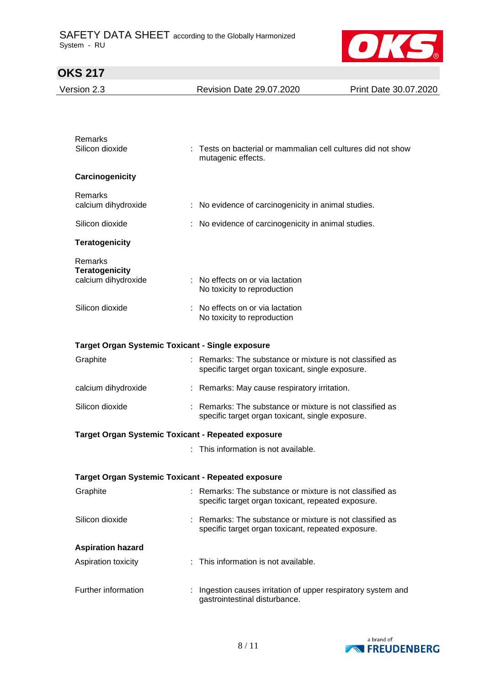

| Version 2.3                                                         | <b>Revision Date 29.07.2020</b>                                                                              | Print Date 30.07.2020 |
|---------------------------------------------------------------------|--------------------------------------------------------------------------------------------------------------|-----------------------|
|                                                                     |                                                                                                              |                       |
|                                                                     |                                                                                                              |                       |
| Remarks<br>Silicon dioxide                                          | Tests on bacterial or mammalian cell cultures did not show<br>mutagenic effects.                             |                       |
| Carcinogenicity                                                     |                                                                                                              |                       |
| Remarks<br>calcium dihydroxide                                      | : No evidence of carcinogenicity in animal studies.                                                          |                       |
| Silicon dioxide                                                     | No evidence of carcinogenicity in animal studies.                                                            |                       |
| <b>Teratogenicity</b>                                               |                                                                                                              |                       |
| Remarks                                                             |                                                                                                              |                       |
| <b>Teratogenicity</b><br>calcium dihydroxide                        | : No effects on or via lactation<br>No toxicity to reproduction                                              |                       |
| Silicon dioxide                                                     | No effects on or via lactation<br>No toxicity to reproduction                                                |                       |
|                                                                     |                                                                                                              |                       |
| <b>Target Organ Systemic Toxicant - Single exposure</b><br>Graphite | Remarks: The substance or mixture is not classified as                                                       |                       |
|                                                                     | specific target organ toxicant, single exposure.                                                             |                       |
| calcium dihydroxide                                                 | : Remarks: May cause respiratory irritation.                                                                 |                       |
| Silicon dioxide                                                     | Remarks: The substance or mixture is not classified as<br>specific target organ toxicant, single exposure.   |                       |
| <b>Target Organ Systemic Toxicant - Repeated exposure</b>           |                                                                                                              |                       |
|                                                                     | This information is not available.                                                                           |                       |
| <b>Target Organ Systemic Toxicant - Repeated exposure</b>           |                                                                                                              |                       |
| Graphite                                                            | Remarks: The substance or mixture is not classified as<br>specific target organ toxicant, repeated exposure. |                       |
| Silicon dioxide                                                     | Remarks: The substance or mixture is not classified as<br>specific target organ toxicant, repeated exposure. |                       |
| <b>Aspiration hazard</b>                                            |                                                                                                              |                       |
| Aspiration toxicity                                                 | : This information is not available.                                                                         |                       |
| Further information                                                 | Ingestion causes irritation of upper respiratory system and<br>gastrointestinal disturbance.                 |                       |

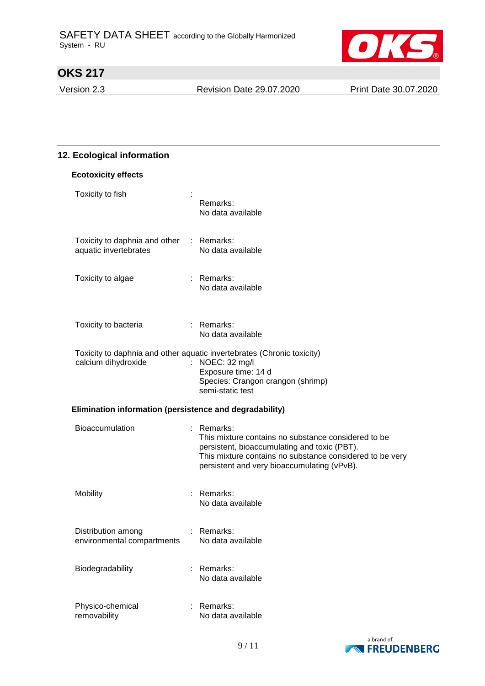

Version 2.3 Revision Date 29.07.2020 Print Date 30.07.2020

# **12. Ecological information**

| <b>Ecotoxicity effects</b>                              |                                                                                                                                                                                                                                |
|---------------------------------------------------------|--------------------------------------------------------------------------------------------------------------------------------------------------------------------------------------------------------------------------------|
| Toxicity to fish                                        | Remarks:<br>No data available                                                                                                                                                                                                  |
| Toxicity to daphnia and other<br>aquatic invertebrates  | : Remarks:<br>No data available                                                                                                                                                                                                |
| Toxicity to algae                                       | $:$ Remarks:<br>No data available                                                                                                                                                                                              |
| Toxicity to bacteria                                    | $:$ Remarks:<br>No data available                                                                                                                                                                                              |
| calcium dihydroxide                                     | Toxicity to daphnia and other aquatic invertebrates (Chronic toxicity)<br>: NOEC: 32 mg/l<br>Exposure time: 14 d<br>Species: Crangon crangon (shrimp)<br>semi-static test                                                      |
| Elimination information (persistence and degradability) |                                                                                                                                                                                                                                |
| <b>Bioaccumulation</b>                                  | $:$ Remarks:<br>This mixture contains no substance considered to be<br>persistent, bioaccumulating and toxic (PBT).<br>This mixture contains no substance considered to be very<br>persistent and very bioaccumulating (vPvB). |
| Mobility                                                | : Remarks:<br>No data available                                                                                                                                                                                                |
| Distribution among<br>environmental compartments        | Remarks:<br>No data available                                                                                                                                                                                                  |
| Biodegradability                                        | Remarks:<br>No data available                                                                                                                                                                                                  |
| Physico-chemical<br>removability                        | Remarks:<br>No data available                                                                                                                                                                                                  |

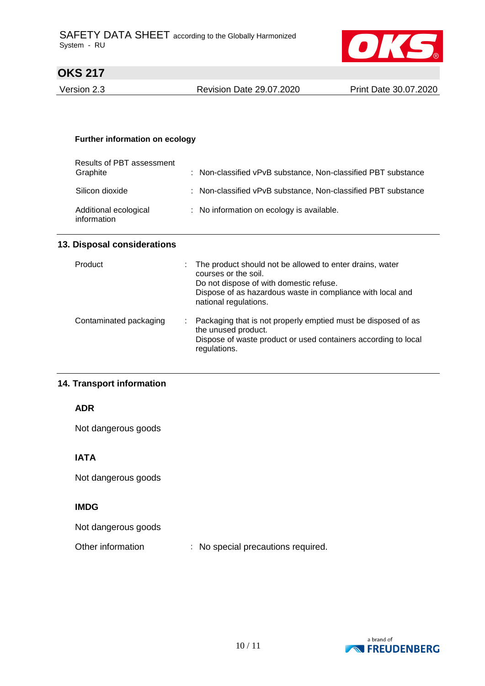

Version 2.3 Revision Date 29.07.2020 Print Date 30.07.2020

#### **Further information on ecology**

| Results of PBT assessment<br>Graphite | : Non-classified vPvB substance, Non-classified PBT substance |
|---------------------------------------|---------------------------------------------------------------|
| Silicon dioxide                       | : Non-classified vPvB substance, Non-classified PBT substance |
| Additional ecological<br>information  | : No information on ecology is available.                     |

### **13. Disposal considerations**

| Product                | t. | The product should not be allowed to enter drains, water<br>courses or the soil.<br>Do not dispose of with domestic refuse.<br>Dispose of as hazardous waste in compliance with local and<br>national regulations. |
|------------------------|----|--------------------------------------------------------------------------------------------------------------------------------------------------------------------------------------------------------------------|
| Contaminated packaging | ÷. | Packaging that is not properly emptied must be disposed of as<br>the unused product.<br>Dispose of waste product or used containers according to local<br>regulations.                                             |

### **14. Transport information**

## **ADR**

Not dangerous goods

## **IATA**

Not dangerous goods

# **IMDG**

Not dangerous goods

Other information : No special precautions required.